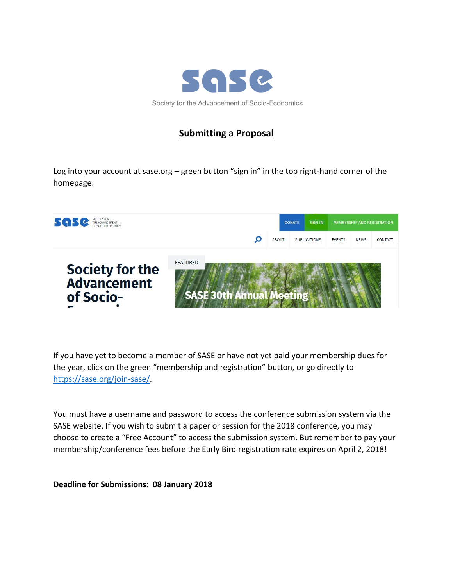

## **Submitting a Proposal**

Log into your account at sase.org – green button "sign in" in the top right-hand corner of the homepage:



If you have yet to become a member of SASE or have not yet paid your membership dues for the year, click on the green "membership and registration" button, or go directly to [https://sase.org/join-sase/.](https://sase.org/join-sase/)

You must have a username and password to access the conference submission system via the SASE website. If you wish to submit a paper or session for the 2018 conference, you may choose to create a "Free Account" to access the submission system. But remember to pay your membership/conference fees before the Early Bird registration rate expires on April 2, 2018!

**Deadline for Submissions: 08 January 2018**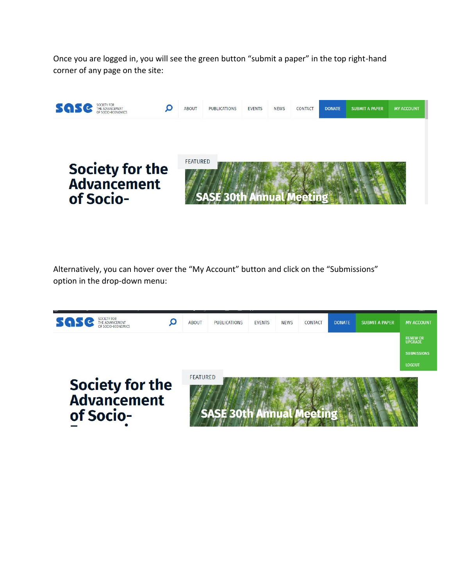Once you are logged in, you will see the green button "submit a paper" in the top right-hand corner of any page on the site:



Alternatively, you can hover over the "My Account" button and click on the "Submissions" option in the drop-down menu: